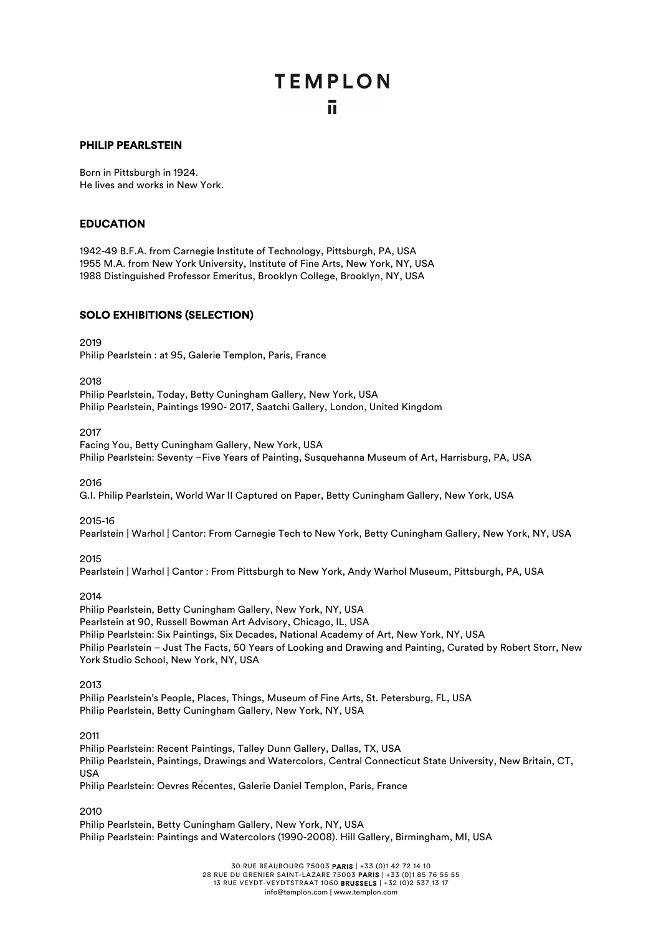#### PHILIP PEARLSTEIN

Born in Pittsburgh in 1924. He lives and works in New York.

#### EDUCATION

1942-49 B.F.A. from Carnegie Institute of Technology, Pittsburgh, PA, USA 1955 M.A. from New York University, Institute of Fine Arts, New York, NY, USA 1988 Distinguished Professor Emeritus, Brooklyn College, Brooklyn, NY, USA

#### SOLO EXHIBITIONS (SELECTION)

2019

Philip Pearlstein : at 95, Galerie Templon, Paris, France

2018

Philip Pearlstein, Today, Betty Cuningham Gallery, New York, USA Philip Pearlstein, Paintings 1990- 2017, Saatchi Gallery, London, United Kingdom

2017

Facing You, Betty Cuningham Gallery, New York, USA Philip Pearlstein: Seventy –Five Years of Painting, Susquehanna Museum of Art, Harrisburg, PA, USA

2016

G.I. Philip Pearlstein, World War II Captured on Paper, Betty Cuningham Gallery, New York, USA

#### 2015-16

Pearlstein | Warhol | Cantor: From Carnegie Tech to New York, Betty Cuningham Gallery, New York, NY, USA

#### 2015

Pearlstein | Warhol | Cantor : From Pittsburgh to New York, Andy Warhol Museum, Pittsburgh, PA, USA

#### 2014

Philip Pearlstein, Betty Cuningham Gallery, New York, NY, USA Pearlstein at 90, Russell Bowman Art Advisory, Chicago, IL, USA Philip Pearlstein: Six Paintings, Six Decades, National Academy of Art, New York, NY, USA Philip Pearlstein – Just The Facts, 50 Years of Looking and Drawing and Painting, Curated by Robert Storr, New York Studio School, New York, NY, USA

2013

Philip Pearlstein's People, Places, Things, Museum of Fine Arts, St. Petersburg, FL, USA Philip Pearlstein, Betty Cuningham Gallery, New York, NY, USA

2011

Philip Pearlstein: Recent Paintings, Talley Dunn Gallery, Dallas, TX, USA Philip Pearlstein, Paintings, Drawings and Watercolors, Central Connecticut State University, New Britain, CT, USA Philip Pearlstein: Oevres Récentes, Galerie Daniel Templon, Paris, France

2010

Philip Pearlstein, Betty Cuningham Gallery, New York, NY, USA Philip Pearlstein: Paintings and Watercolors (1990-2008). Hill Gallery, Birmingham, MI, USA

> 30 RUE BEAUBOURG 75003 PARIS | +33 (0)1 42 72 14 10 28 RUE DU GRENIER SAINT-LAZARE 75003 PARIS | +33 (0)1 85 76 55 55 13 RUE VEYDT-VEYDTSTRAAT 1060 BRUSSELS | +32 (0)2 537 13 17 info@templon.com | www.templon.com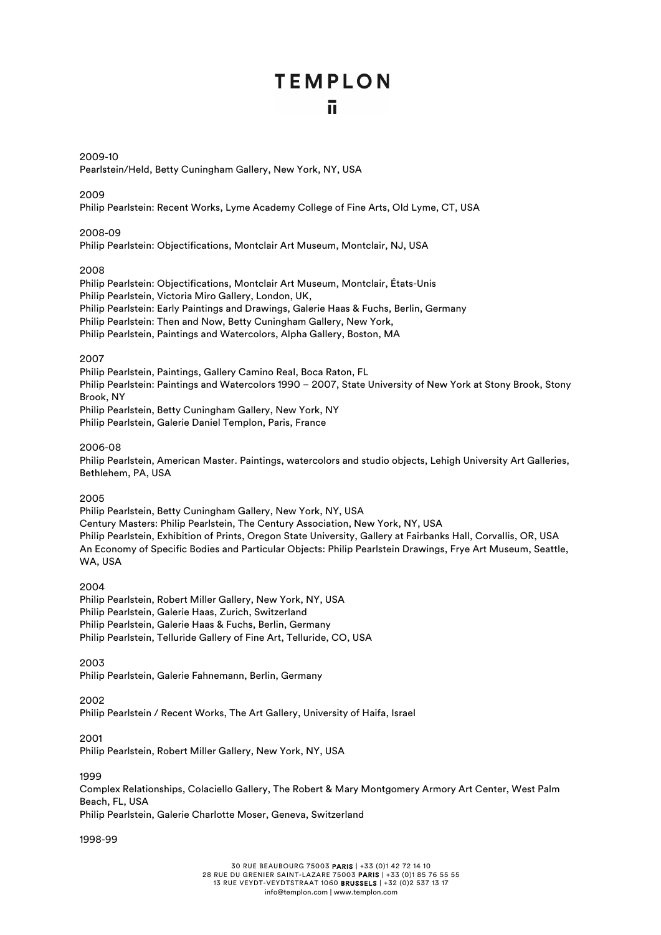#### 2009-10

Pearlstein/Held, Betty Cuningham Gallery, New York, NY, USA

#### 2009

Philip Pearlstein: Recent Works, Lyme Academy College of Fine Arts, Old Lyme, CT, USA

#### 2008-09

Philip Pearlstein: Objectifications, Montclair Art Museum, Montclair, NJ, USA

#### 2008

Philip Pearlstein: Objectifications, Montclair Art Museum, Montclair, États-Unis Philip Pearlstein, Victoria Miro Gallery, London, UK, Philip Pearlstein: Early Paintings and Drawings, Galerie Haas & Fuchs, Berlin, Germany Philip Pearlstein: Then and Now, Betty Cuningham Gallery, New York, Philip Pearlstein, Paintings and Watercolors, Alpha Gallery, Boston, MA

#### 2007

Philip Pearlstein, Paintings, Gallery Camino Real, Boca Raton, FL Philip Pearlstein: Paintings and Watercolors 1990 – 2007, State University of New York at Stony Brook, Stony Brook, NY Philip Pearlstein, Betty Cuningham Gallery, New York, NY Philip Pearlstein, Galerie Daniel Templon, Paris, France

#### 2006-08

Philip Pearlstein, American Master. Paintings, watercolors and studio objects, Lehigh University Art Galleries, Bethlehem, PA, USA

#### 2005

Philip Pearlstein, Betty Cuningham Gallery, New York, NY, USA Century Masters: Philip Pearlstein, The Century Association, New York, NY, USA Philip Pearlstein, Exhibition of Prints, Oregon State University, Gallery at Fairbanks Hall, Corvallis, OR, USA An Economy of Specific Bodies and Particular Objects: Philip Pearlstein Drawings, Frye Art Museum, Seattle, WA, USA

#### 2004

Philip Pearlstein, Robert Miller Gallery, New York, NY, USA Philip Pearlstein, Galerie Haas, Zurich, Switzerland Philip Pearlstein, Galerie Haas & Fuchs, Berlin, Germany Philip Pearlstein, Telluride Gallery of Fine Art, Telluride, CO, USA

#### 2003

Philip Pearlstein, Galerie Fahnemann, Berlin, Germany

#### 2002

Philip Pearlstein / Recent Works, The Art Gallery, University of Haifa, Israel

#### 2001

Philip Pearlstein, Robert Miller Gallery, New York, NY, USA

#### 1999

Complex Relationships, Colaciello Gallery, The Robert & Mary Montgomery Armory Art Center, West Palm Beach, FL, USA Philip Pearlstein, Galerie Charlotte Moser, Geneva, Switzerland

#### 1998-99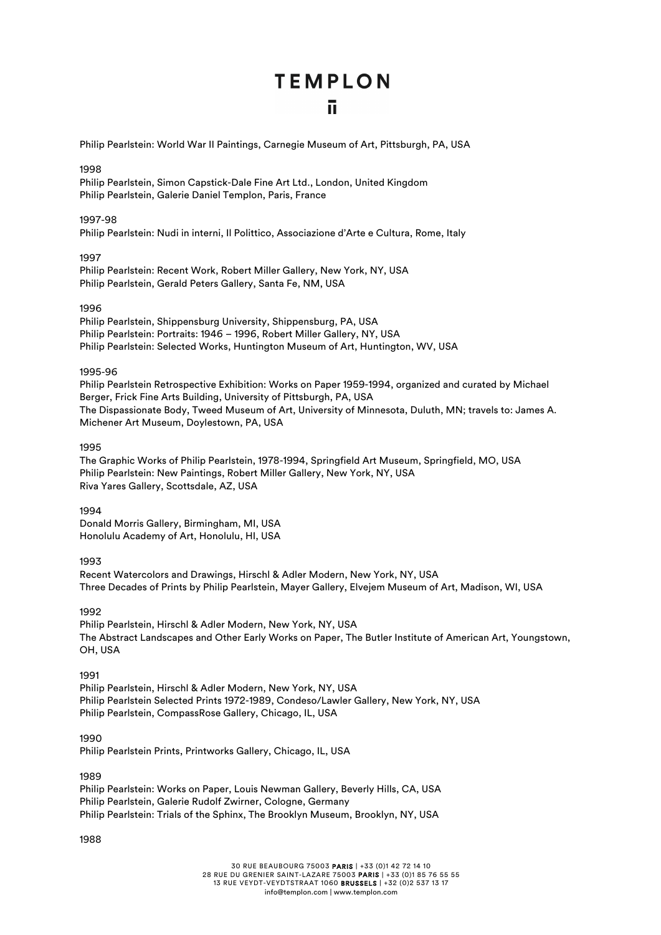Philip Pearlstein: World War II Paintings, Carnegie Museum of Art, Pittsburgh, PA, USA

#### 1998

Philip Pearlstein, Simon Capstick-Dale Fine Art Ltd., London, United Kingdom Philip Pearlstein, Galerie Daniel Templon, Paris, France

#### 1997-98

Philip Pearlstein: Nudi in interni, Il Polittico, Associazione d'Arte e Cultura, Rome, Italy

#### 1997

Philip Pearlstein: Recent Work, Robert Miller Gallery, New York, NY, USA Philip Pearlstein, Gerald Peters Gallery, Santa Fe, NM, USA

#### 1996

Philip Pearlstein, Shippensburg University, Shippensburg, PA, USA Philip Pearlstein: Portraits: 1946 – 1996, Robert Miller Gallery, NY, USA Philip Pearlstein: Selected Works, Huntington Museum of Art, Huntington, WV, USA

#### 1995-96

Philip Pearlstein Retrospective Exhibition: Works on Paper 1959-1994, organized and curated by Michael Berger, Frick Fine Arts Building, University of Pittsburgh, PA, USA The Dispassionate Body, Tweed Museum of Art, University of Minnesota, Duluth, MN; travels to: James A. Michener Art Museum, Doylestown, PA, USA

#### 1995

The Graphic Works of Philip Pearlstein, 1978-1994, Springfield Art Museum, Springfield, MO, USA Philip Pearlstein: New Paintings, Robert Miller Gallery, New York, NY, USA Riva Yares Gallery, Scottsdale, AZ, USA

#### 1994

Donald Morris Gallery, Birmingham, MI, USA Honolulu Academy of Art, Honolulu, HI, USA

#### 1993

Recent Watercolors and Drawings, Hirschl & Adler Modern, New York, NY, USA Three Decades of Prints by Philip Pearlstein, Mayer Gallery, Elvejem Museum of Art, Madison, WI, USA

#### 1992

Philip Pearlstein, Hirschl & Adler Modern, New York, NY, USA The Abstract Landscapes and Other Early Works on Paper, The Butler Institute of American Art, Youngstown, OH, USA

#### 1991

Philip Pearlstein, Hirschl & Adler Modern, New York, NY, USA Philip Pearlstein Selected Prints 1972-1989, Condeso/Lawler Gallery, New York, NY, USA Philip Pearlstein, CompassRose Gallery, Chicago, IL, USA

#### 1990

Philip Pearlstein Prints, Printworks Gallery, Chicago, IL, USA

#### 1989

Philip Pearlstein: Works on Paper, Louis Newman Gallery, Beverly Hills, CA, USA Philip Pearlstein, Galerie Rudolf Zwirner, Cologne, Germany Philip Pearlstein: Trials of the Sphinx, The Brooklyn Museum, Brooklyn, NY, USA

#### 1988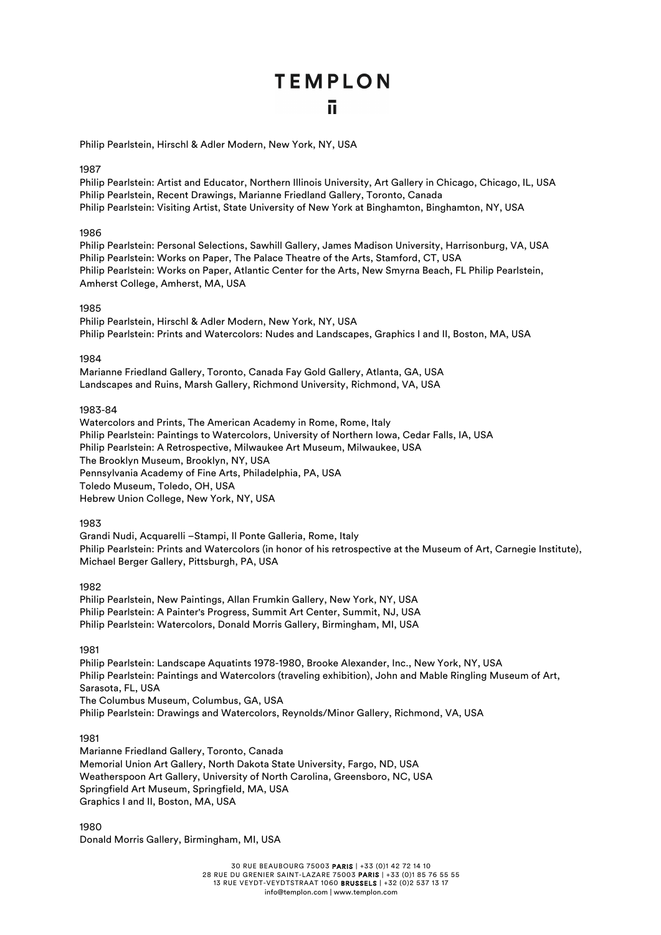Philip Pearlstein, Hirschl & Adler Modern, New York, NY, USA

#### 1987

Philip Pearlstein: Artist and Educator, Northern Illinois University, Art Gallery in Chicago, Chicago, IL, USA Philip Pearlstein, Recent Drawings, Marianne Friedland Gallery, Toronto, Canada Philip Pearlstein: Visiting Artist, State University of New York at Binghamton, Binghamton, NY, USA

#### 1986

Philip Pearlstein: Personal Selections, Sawhill Gallery, James Madison University, Harrisonburg, VA, USA Philip Pearlstein: Works on Paper, The Palace Theatre of the Arts, Stamford, CT, USA Philip Pearlstein: Works on Paper, Atlantic Center for the Arts, New Smyrna Beach, FL Philip Pearlstein, Amherst College, Amherst, MA, USA

#### 1985

Philip Pearlstein, Hirschl & Adler Modern, New York, NY, USA Philip Pearlstein: Prints and Watercolors: Nudes and Landscapes, Graphics I and II, Boston, MA, USA

#### 1984

Marianne Friedland Gallery, Toronto, Canada Fay Gold Gallery, Atlanta, GA, USA Landscapes and Ruins, Marsh Gallery, Richmond University, Richmond, VA, USA

#### 1983-84

Watercolors and Prints, The American Academy in Rome, Rome, Italy Philip Pearlstein: Paintings to Watercolors, University of Northern Iowa, Cedar Falls, IA, USA Philip Pearlstein: A Retrospective, Milwaukee Art Museum, Milwaukee, USA The Brooklyn Museum, Brooklyn, NY, USA Pennsylvania Academy of Fine Arts, Philadelphia, PA, USA Toledo Museum, Toledo, OH, USA Hebrew Union College, New York, NY, USA

#### 1983

Grandi Nudi, Acquarelli –Stampi, Il Ponte Galleria, Rome, Italy Philip Pearlstein: Prints and Watercolors (in honor of his retrospective at the Museum of Art, Carnegie Institute), Michael Berger Gallery, Pittsburgh, PA, USA

1982

Philip Pearlstein, New Paintings, Allan Frumkin Gallery, New York, NY, USA Philip Pearlstein: A Painter's Progress, Summit Art Center, Summit, NJ, USA Philip Pearlstein: Watercolors, Donald Morris Gallery, Birmingham, MI, USA

1981

Philip Pearlstein: Landscape Aquatints 1978-1980, Brooke Alexander, Inc., New York, NY, USA Philip Pearlstein: Paintings and Watercolors (traveling exhibition), John and Mable Ringling Museum of Art, Sarasota, FL, USA The Columbus Museum, Columbus, GA, USA Philip Pearlstein: Drawings and Watercolors, Reynolds/Minor Gallery, Richmond, VA, USA

1981

Marianne Friedland Gallery, Toronto, Canada Memorial Union Art Gallery, North Dakota State University, Fargo, ND, USA Weatherspoon Art Gallery, University of North Carolina, Greensboro, NC, USA Springfield Art Museum, Springfield, MA, USA Graphics I and II, Boston, MA, USA

1980 Donald Morris Gallery, Birmingham, MI, USA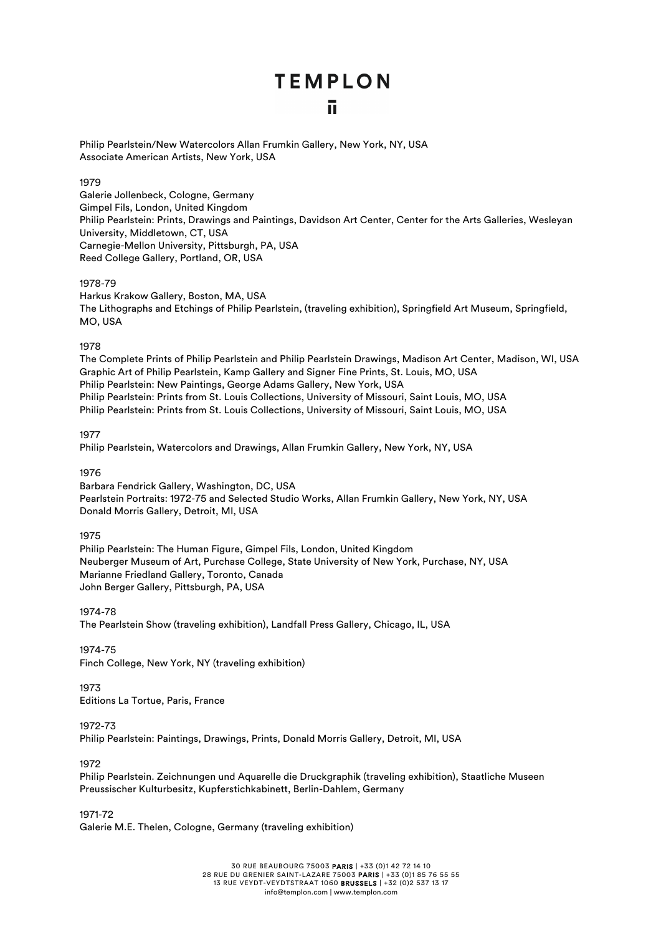Philip Pearlstein/New Watercolors Allan Frumkin Gallery, New York, NY, USA Associate American Artists, New York, USA

#### 1979

Galerie Jollenbeck, Cologne, Germany Gimpel Fils, London, United Kingdom Philip Pearlstein: Prints, Drawings and Paintings, Davidson Art Center, Center for the Arts Galleries, Wesleyan University, Middletown, CT, USA Carnegie-Mellon University, Pittsburgh, PA, USA Reed College Gallery, Portland, OR, USA

#### 1978-79

Harkus Krakow Gallery, Boston, MA, USA The Lithographs and Etchings of Philip Pearlstein, (traveling exhibition), Springfield Art Museum, Springfield, MO, USA

#### 1978

The Complete Prints of Philip Pearlstein and Philip Pearlstein Drawings, Madison Art Center, Madison, WI, USA Graphic Art of Philip Pearlstein, Kamp Gallery and Signer Fine Prints, St. Louis, MO, USA Philip Pearlstein: New Paintings, George Adams Gallery, New York, USA Philip Pearlstein: Prints from St. Louis Collections, University of Missouri, Saint Louis, MO, USA Philip Pearlstein: Prints from St. Louis Collections, University of Missouri, Saint Louis, MO, USA

1977

Philip Pearlstein, Watercolors and Drawings, Allan Frumkin Gallery, New York, NY, USA

1976

Barbara Fendrick Gallery, Washington, DC, USA Pearlstein Portraits: 1972-75 and Selected Studio Works, Allan Frumkin Gallery, New York, NY, USA Donald Morris Gallery, Detroit, MI, USA

#### 1975

Philip Pearlstein: The Human Figure, Gimpel Fils, London, United Kingdom Neuberger Museum of Art, Purchase College, State University of New York, Purchase, NY, USA Marianne Friedland Gallery, Toronto, Canada John Berger Gallery, Pittsburgh, PA, USA

1974-78 The Pearlstein Show (traveling exhibition), Landfall Press Gallery, Chicago, IL, USA

1974-75 Finch College, New York, NY (traveling exhibition)

#### 1973

Editions La Tortue, Paris, France

#### 1972-73

Philip Pearlstein: Paintings, Drawings, Prints, Donald Morris Gallery, Detroit, MI, USA

1972

Philip Pearlstein. Zeichnungen und Aquarelle die Druckgraphik (traveling exhibition), Staatliche Museen Preussischer Kulturbesitz, Kupferstichkabinett, Berlin-Dahlem, Germany

1971-72

Galerie M.E. Thelen, Cologne, Germany (traveling exhibition)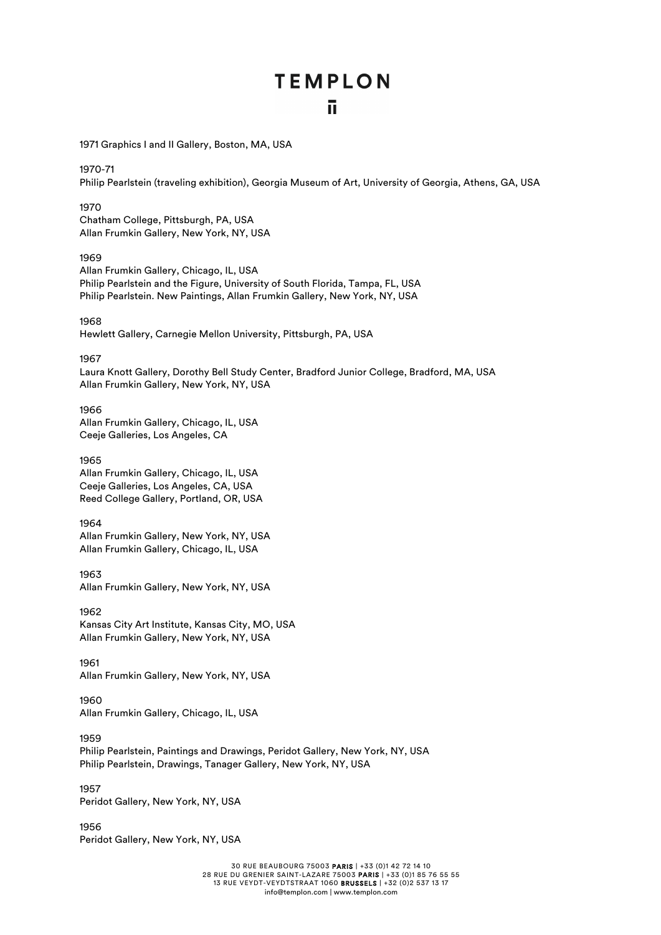1971 Graphics I and II Gallery, Boston, MA, USA

1970-71 Philip Pearlstein (traveling exhibition), Georgia Museum of Art, University of Georgia, Athens, GA, USA

#### 1970

Chatham College, Pittsburgh, PA, USA Allan Frumkin Gallery, New York, NY, USA

#### 1969

Allan Frumkin Gallery, Chicago, IL, USA Philip Pearlstein and the Figure, University of South Florida, Tampa, FL, USA Philip Pearlstein. New Paintings, Allan Frumkin Gallery, New York, NY, USA

#### 1968

Hewlett Gallery, Carnegie Mellon University, Pittsburgh, PA, USA

1967

Laura Knott Gallery, Dorothy Bell Study Center, Bradford Junior College, Bradford, MA, USA Allan Frumkin Gallery, New York, NY, USA

#### 1966

Allan Frumkin Gallery, Chicago, IL, USA Ceeje Galleries, Los Angeles, CA

#### 1965

Allan Frumkin Gallery, Chicago, IL, USA Ceeje Galleries, Los Angeles, CA, USA Reed College Gallery, Portland, OR, USA

1964 Allan Frumkin Gallery, New York, NY, USA Allan Frumkin Gallery, Chicago, IL, USA

1963

Allan Frumkin Gallery, New York, NY, USA

1962 Kansas City Art Institute, Kansas City, MO, USA Allan Frumkin Gallery, New York, NY, USA

1961 Allan Frumkin Gallery, New York, NY, USA

1960 Allan Frumkin Gallery, Chicago, IL, USA

1959 Philip Pearlstein, Paintings and Drawings, Peridot Gallery, New York, NY, USA Philip Pearlstein, Drawings, Tanager Gallery, New York, NY, USA

1957 Peridot Gallery, New York, NY, USA

1956 Peridot Gallery, New York, NY, USA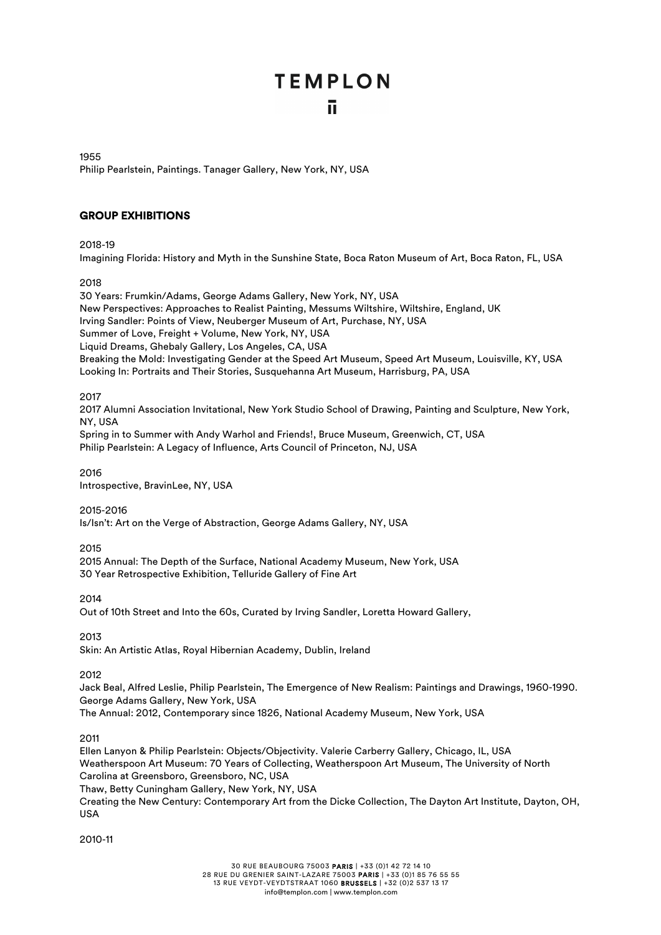1955 Philip Pearlstein, Paintings. Tanager Gallery, New York, NY, USA

#### GROUP EXHIBITIONS

#### 2018-19

Imagining Florida: History and Myth in the Sunshine State, Boca Raton Museum of Art, Boca Raton, FL, USA

#### 2018

30 Years: Frumkin/Adams, George Adams Gallery, New York, NY, USA New Perspectives: Approaches to Realist Painting, Messums Wiltshire, Wiltshire, England, UK Irving Sandler: Points of View, Neuberger Museum of Art, Purchase, NY, USA Summer of Love, Freight + Volume, New York, NY, USA Liquid Dreams, Ghebaly Gallery, Los Angeles, CA, USA Breaking the Mold: Investigating Gender at the Speed Art Museum, Speed Art Museum, Louisville, KY, USA Looking In: Portraits and Their Stories, Susquehanna Art Museum, Harrisburg, PA, USA

#### 2017

2017 Alumni Association Invitational, New York Studio School of Drawing, Painting and Sculpture, New York, NY, USA

Spring in to Summer with Andy Warhol and Friends!, Bruce Museum, Greenwich, CT, USA Philip Pearlstein: A Legacy of Influence, Arts Council of Princeton, NJ, USA

2016 Introspective, BravinLee, NY, USA

#### 2015-2016

Is/Isn't: Art on the Verge of Abstraction, George Adams Gallery, NY, USA

2015

2015 Annual: The Depth of the Surface, National Academy Museum, New York, USA 30 Year Retrospective Exhibition, Telluride Gallery of Fine Art

2014

Out of 10th Street and Into the 60s, Curated by Irving Sandler, Loretta Howard Gallery,

2013

Skin: An Artistic Atlas, Royal Hibernian Academy, Dublin, Ireland

2012

Jack Beal, Alfred Leslie, Philip Pearlstein, The Emergence of New Realism: Paintings and Drawings, 1960-1990. George Adams Gallery, New York, USA

The Annual: 2012, Contemporary since 1826, National Academy Museum, New York, USA

2011

Ellen Lanyon & Philip Pearlstein: Objects/Objectivity. Valerie Carberry Gallery, Chicago, IL, USA Weatherspoon Art Museum: 70 Years of Collecting, Weatherspoon Art Museum, The University of North Carolina at Greensboro, Greensboro, NC, USA

Thaw, Betty Cuningham Gallery, New York, NY, USA

Creating the New Century: Contemporary Art from the Dicke Collection, The Dayton Art Institute, Dayton, OH, USA

2010-11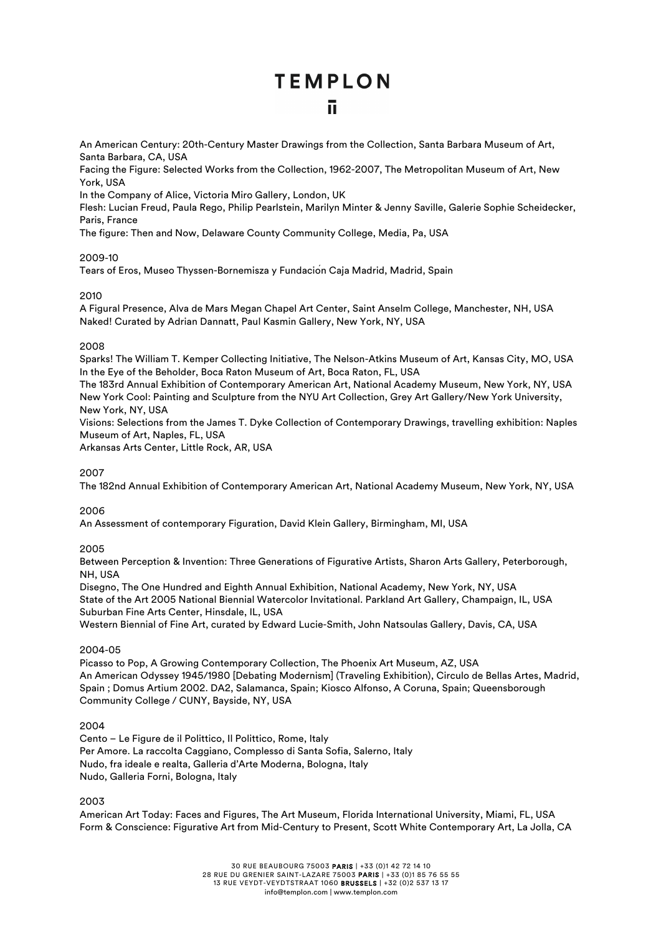An American Century: 20th-Century Master Drawings from the Collection, Santa Barbara Museum of Art, Santa Barbara, CA, USA

Facing the Figure: Selected Works from the Collection, 1962-2007, The Metropolitan Museum of Art, New York, USA

In the Company of Alice, Victoria Miro Gallery, London, UK

Flesh: Lucian Freud, Paula Rego, Philip Pearlstein, Marilyn Minter & Jenny Saville, Galerie Sophie Scheidecker, Paris, France

The figure: Then and Now, Delaware County Community College, Media, Pa, USA

#### 2009-10

Tears of Eros, Museo Thyssen-Bornemisza y Fundación Caja Madrid, Madrid, Spain

#### 2010

A Figural Presence, Alva de Mars Megan Chapel Art Center, Saint Anselm College, Manchester, NH, USA Naked! Curated by Adrian Dannatt, Paul Kasmin Gallery, New York, NY, USA

#### 2008

Sparks! The William T. Kemper Collecting Initiative, The Nelson-Atkins Museum of Art, Kansas City, MO, USA In the Eye of the Beholder, Boca Raton Museum of Art, Boca Raton, FL, USA

The 183rd Annual Exhibition of Contemporary American Art, National Academy Museum, New York, NY, USA New York Cool: Painting and Sculpture from the NYU Art Collection, Grey Art Gallery/New York University, New York, NY, USA

Visions: Selections from the James T. Dyke Collection of Contemporary Drawings, travelling exhibition: Naples Museum of Art, Naples, FL, USA

Arkansas Arts Center, Little Rock, AR, USA

#### 2007

The 182nd Annual Exhibition of Contemporary American Art, National Academy Museum, New York, NY, USA

#### 2006

An Assessment of contemporary Figuration, David Klein Gallery, Birmingham, MI, USA

#### 2005

Between Perception & Invention: Three Generations of Figurative Artists, Sharon Arts Gallery, Peterborough, NH, USA

Disegno, The One Hundred and Eighth Annual Exhibition, National Academy, New York, NY, USA State of the Art 2005 National Biennial Watercolor Invitational. Parkland Art Gallery, Champaign, IL, USA Suburban Fine Arts Center, Hinsdale, IL, USA

Western Biennial of Fine Art, curated by Edward Lucie-Smith, John Natsoulas Gallery, Davis, CA, USA

#### 2004-05

Picasso to Pop, A Growing Contemporary Collection, The Phoenix Art Museum, AZ, USA An American Odyssey 1945/1980 [Debating Modernism] (Traveling Exhibition), Circulo de Bellas Artes, Madrid, Spain ; Domus Artium 2002. DA2, Salamanca, Spain; Kiosco Alfonso, A Coruna, Spain; Queensborough Community College / CUNY, Bayside, NY, USA

#### 2004

Cento – Le Figure de il Polittico, Il Polittico, Rome, Italy Per Amore. La raccolta Caggiano, Complesso di Santa Sofia, Salerno, Italy Nudo, fra ideale e realta, Galleria d'Arte Moderna, Bologna, Italy Nudo, Galleria Forni, Bologna, Italy

2003

American Art Today: Faces and Figures, The Art Museum, Florida International University, Miami, FL, USA Form & Conscience: Figurative Art from Mid-Century to Present, Scott White Contemporary Art, La Jolla, CA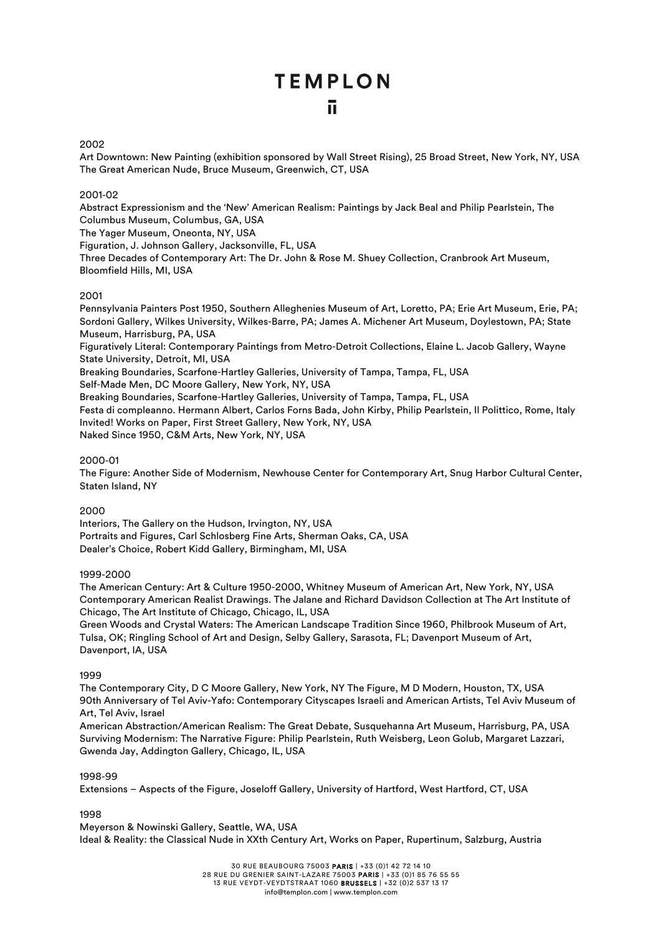#### 2002

Art Downtown: New Painting (exhibition sponsored by Wall Street Rising), 25 Broad Street, New York, NY, USA The Great American Nude, Bruce Museum, Greenwich, CT, USA

#### 2001-02

Abstract Expressionism and the 'New' American Realism: Paintings by Jack Beal and Philip Pearlstein, The Columbus Museum, Columbus, GA, USA

The Yager Museum, Oneonta, NY, USA

Figuration, J. Johnson Gallery, Jacksonville, FL, USA

Three Decades of Contemporary Art: The Dr. John & Rose M. Shuey Collection, Cranbrook Art Museum, Bloomfield Hills, MI, USA

#### 2001

Pennsylvania Painters Post 1950, Southern Alleghenies Museum of Art, Loretto, PA; Erie Art Museum, Erie, PA; Sordoni Gallery, Wilkes University, Wilkes-Barre, PA; James A. Michener Art Museum, Doylestown, PA; State Museum, Harrisburg, PA, USA Figuratively Literal: Contemporary Paintings from Metro-Detroit Collections, Elaine L. Jacob Gallery, Wayne State University, Detroit, MI, USA Breaking Boundaries, Scarfone-Hartley Galleries, University of Tampa, Tampa, FL, USA

Self-Made Men, DC Moore Gallery, New York, NY, USA

Breaking Boundaries, Scarfone-Hartley Galleries, University of Tampa, Tampa, FL, USA Festa di compleanno. Hermann Albert, Carlos Forns Bada, John Kirby, Philip Pearlstein, Il Polittico, Rome, Italy Invited! Works on Paper, First Street Gallery, New York, NY, USA Naked Since 1950, C&M Arts, New York, NY, USA

#### 2000-01

The Figure: Another Side of Modernism, Newhouse Center for Contemporary Art, Snug Harbor Cultural Center, Staten Island, NY

#### 2000

Interiors, The Gallery on the Hudson, Irvington, NY, USA Portraits and Figures, Carl Schlosberg Fine Arts, Sherman Oaks, CA, USA Dealer's Choice, Robert Kidd Gallery, Birmingham, MI, USA

#### 1999-2000

The American Century: Art & Culture 1950-2000, Whitney Museum of American Art, New York, NY, USA Contemporary American Realist Drawings. The Jalane and Richard Davidson Collection at The Art Institute of Chicago, The Art Institute of Chicago, Chicago, IL, USA

Green Woods and Crystal Waters: The American Landscape Tradition Since 1960, Philbrook Museum of Art, Tulsa, OK; Ringling School of Art and Design, Selby Gallery, Sarasota, FL; Davenport Museum of Art, Davenport, IA, USA

#### 1999

The Contemporary City, D C Moore Gallery, New York, NY The Figure, M D Modern, Houston, TX, USA 90th Anniversary of Tel Aviv-Yafo: Contemporary Cityscapes Israeli and American Artists, Tel Aviv Museum of Art, Tel Aviv, Israel

American Abstraction/American Realism: The Great Debate, Susquehanna Art Museum, Harrisburg, PA, USA Surviving Modernism: The Narrative Figure: Philip Pearlstein, Ruth Weisberg, Leon Golub, Margaret Lazzari, Gwenda Jay, Addington Gallery, Chicago, IL, USA

#### 1998-99

Extensions – Aspects of the Figure, Joseloff Gallery, University of Hartford, West Hartford, CT, USA

#### 1998

Meyerson & Nowinski Gallery, Seattle, WA, USA Ideal & Reality: the Classical Nude in XXth Century Art, Works on Paper, Rupertinum, Salzburg, Austria

> 30 RUE BEAUBOURG 75003 PARIS | +33 (0)1 42 72 14 10 28 RUE DU GRENIER SAINT-LAZARE 75003 PARIS | +33 (0)1 85 76 55 55 13 RUE VEYDT-VEYDTSTRAAT 1060 BRUSSELS | +32 (0)2 537 13 17 info@templon.com | www.templon.com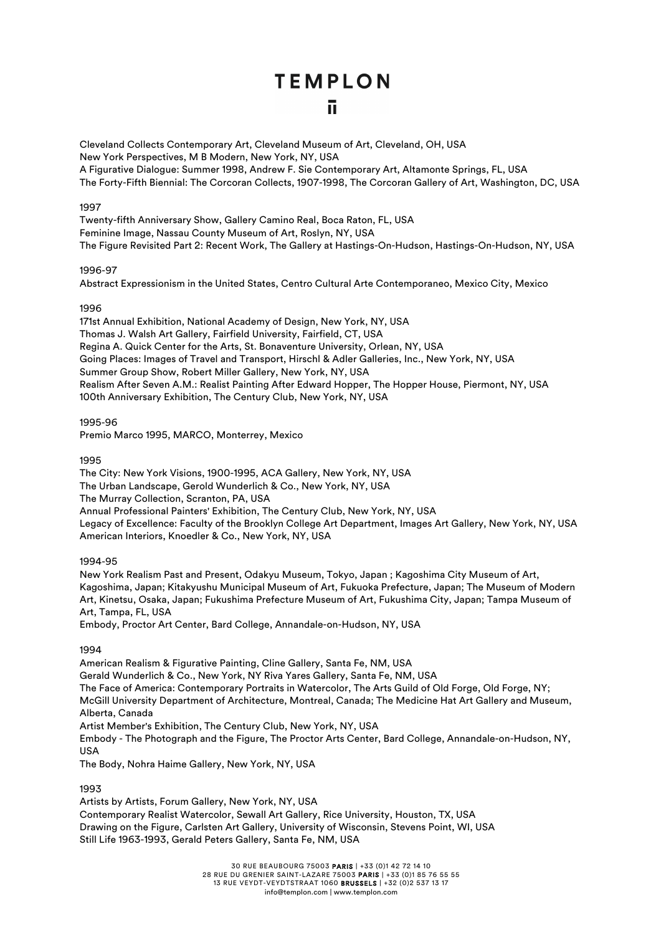Cleveland Collects Contemporary Art, Cleveland Museum of Art, Cleveland, OH, USA New York Perspectives, M B Modern, New York, NY, USA A Figurative Dialogue: Summer 1998, Andrew F. Sie Contemporary Art, Altamonte Springs, FL, USA The Forty-Fifth Biennial: The Corcoran Collects, 1907-1998, The Corcoran Gallery of Art, Washington, DC, USA

#### 1997

Twenty-fifth Anniversary Show, Gallery Camino Real, Boca Raton, FL, USA Feminine Image, Nassau County Museum of Art, Roslyn, NY, USA The Figure Revisited Part 2: Recent Work, The Gallery at Hastings-On-Hudson, Hastings-On-Hudson, NY, USA

#### 1996-97

Abstract Expressionism in the United States, Centro Cultural Arte Contemporaneo, Mexico City, Mexico

#### 1996

171st Annual Exhibition, National Academy of Design, New York, NY, USA Thomas J. Walsh Art Gallery, Fairfield University, Fairfield, CT, USA Regina A. Quick Center for the Arts, St. Bonaventure University, Orlean, NY, USA Going Places: Images of Travel and Transport, Hirschl & Adler Galleries, Inc., New York, NY, USA Summer Group Show, Robert Miller Gallery, New York, NY, USA Realism After Seven A.M.: Realist Painting After Edward Hopper, The Hopper House, Piermont, NY, USA 100th Anniversary Exhibition, The Century Club, New York, NY, USA

#### 1995-96

Premio Marco 1995, MARCO, Monterrey, Mexico

1995

The City: New York Visions, 1900-1995, ACA Gallery, New York, NY, USA The Urban Landscape, Gerold Wunderlich & Co., New York, NY, USA The Murray Collection, Scranton, PA, USA Annual Professional Painters' Exhibition, The Century Club, New York, NY, USA Legacy of Excellence: Faculty of the Brooklyn College Art Department, Images Art Gallery, New York, NY, USA American Interiors, Knoedler & Co., New York, NY, USA

1994-95

New York Realism Past and Present, Odakyu Museum, Tokyo, Japan ; Kagoshima City Museum of Art, Kagoshima, Japan; Kitakyushu Municipal Museum of Art, Fukuoka Prefecture, Japan; The Museum of Modern Art, Kinetsu, Osaka, Japan; Fukushima Prefecture Museum of Art, Fukushima City, Japan; Tampa Museum of Art, Tampa, FL, USA

Embody, Proctor Art Center, Bard College, Annandale-on-Hudson, NY, USA

#### 1994

American Realism & Figurative Painting, Cline Gallery, Santa Fe, NM, USA Gerald Wunderlich & Co., New York, NY Riva Yares Gallery, Santa Fe, NM, USA The Face of America: Contemporary Portraits in Watercolor, The Arts Guild of Old Forge, Old Forge, NY; McGill University Department of Architecture, Montreal, Canada; The Medicine Hat Art Gallery and Museum, Alberta, Canada Artist Member's Exhibition, The Century Club, New York, NY, USA Embody - The Photograph and the Figure, The Proctor Arts Center, Bard College, Annandale-on-Hudson, NY, USA

The Body, Nohra Haime Gallery, New York, NY, USA

#### 1993

Artists by Artists, Forum Gallery, New York, NY, USA Contemporary Realist Watercolor, Sewall Art Gallery, Rice University, Houston, TX, USA Drawing on the Figure, Carlsten Art Gallery, University of Wisconsin, Stevens Point, WI, USA Still Life 1963-1993, Gerald Peters Gallery, Santa Fe, NM, USA

30 RUE BEAUBOURG 75003 PARIS | +33 (0)1 42 72 14 10

28 RUE DU GRENIER SAINT-LAZARE 75003 PARIS | +33 (0)1 85 76 55 55

13 RUE VEYDT-VEYDTSTRAAT 1060 BRUSSELS | +32 (0)2 537 13 17 info@templon.com | www.templon.com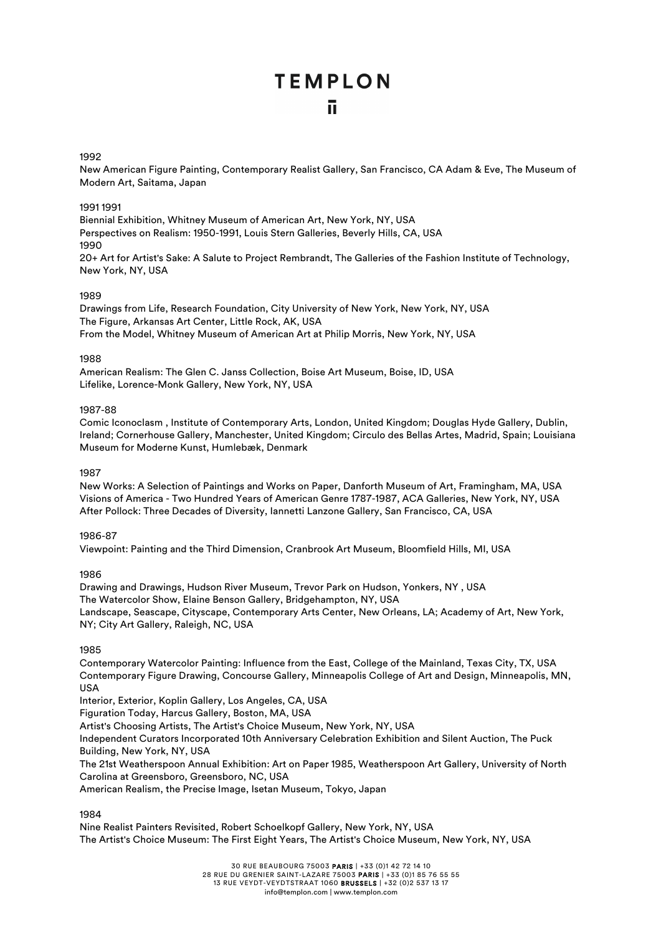### **TEMPLON** π

#### 1992

New American Figure Painting, Contemporary Realist Gallery, San Francisco, CA Adam & Eve, The Museum of Modern Art, Saitama, Japan

#### 1991 1991

Biennial Exhibition, Whitney Museum of American Art, New York, NY, USA Perspectives on Realism: 1950-1991, Louis Stern Galleries, Beverly Hills, CA, USA 1990 20+ Art for Artist's Sake: A Salute to Project Rembrandt, The Galleries of the Fashion Institute of Technology, New York, NY, USA

#### 1989

Drawings from Life, Research Foundation, City University of New York, New York, NY, USA The Figure, Arkansas Art Center, Little Rock, AK, USA From the Model, Whitney Museum of American Art at Philip Morris, New York, NY, USA

#### 1988

American Realism: The Glen C. Janss Collection, Boise Art Museum, Boise, ID, USA Lifelike, Lorence-Monk Gallery, New York, NY, USA

#### 1987-88

Comic Iconoclasm , Institute of Contemporary Arts, London, United Kingdom; Douglas Hyde Gallery, Dublin, Ireland; Cornerhouse Gallery, Manchester, United Kingdom; Circulo des Bellas Artes, Madrid, Spain; Louisiana Museum for Moderne Kunst, Humlebæk, Denmark

#### 1987

New Works: A Selection of Paintings and Works on Paper, Danforth Museum of Art, Framingham, MA, USA Visions of America - Two Hundred Years of American Genre 1787-1987, ACA Galleries, New York, NY, USA After Pollock: Three Decades of Diversity, Iannetti Lanzone Gallery, San Francisco, CA, USA

#### 1986-87

Viewpoint: Painting and the Third Dimension, Cranbrook Art Museum, Bloomfield Hills, MI, USA

#### 1986

Drawing and Drawings, Hudson River Museum, Trevor Park on Hudson, Yonkers, NY , USA The Watercolor Show, Elaine Benson Gallery, Bridgehampton, NY, USA Landscape, Seascape, Cityscape, Contemporary Arts Center, New Orleans, LA; Academy of Art, New York, NY; City Art Gallery, Raleigh, NC, USA

#### 1985

Contemporary Watercolor Painting: Influence from the East, College of the Mainland, Texas City, TX, USA Contemporary Figure Drawing, Concourse Gallery, Minneapolis College of Art and Design, Minneapolis, MN, USA

Interior, Exterior, Koplin Gallery, Los Angeles, CA, USA

Figuration Today, Harcus Gallery, Boston, MA, USA

Artist's Choosing Artists, The Artist's Choice Museum, New York, NY, USA

Independent Curators Incorporated 10th Anniversary Celebration Exhibition and Silent Auction, The Puck Building, New York, NY, USA

The 21st Weatherspoon Annual Exhibition: Art on Paper 1985, Weatherspoon Art Gallery, University of North Carolina at Greensboro, Greensboro, NC, USA

American Realism, the Precise Image, Isetan Museum, Tokyo, Japan

#### 1984

Nine Realist Painters Revisited, Robert Schoelkopf Gallery, New York, NY, USA The Artist's Choice Museum: The First Eight Years, The Artist's Choice Museum, New York, NY, USA

30 RUE BEAUBOURG 75003 PARIS | +33 (0)1 42 72 14 10

28 RUE DU GRENIER SAINT-LAZARE 75003 PARIS | +33 (0)1 85 76 55 55 13 RUE VEYDT-VEYDTSTRAAT 1060 BRUSSELS | +32 (0)2 537 13 17

info@templon.com | www.templon.com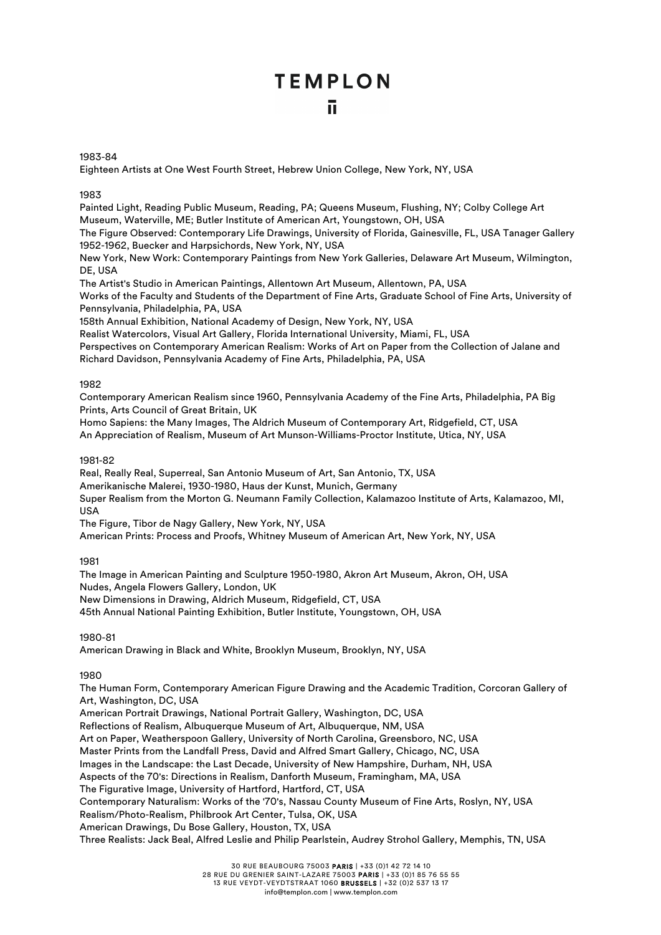#### 1983-84

Eighteen Artists at One West Fourth Street, Hebrew Union College, New York, NY, USA

#### 1983

Painted Light, Reading Public Museum, Reading, PA; Queens Museum, Flushing, NY; Colby College Art Museum, Waterville, ME; Butler Institute of American Art, Youngstown, OH, USA

The Figure Observed: Contemporary Life Drawings, University of Florida, Gainesville, FL, USA Tanager Gallery 1952-1962, Buecker and Harpsichords, New York, NY, USA

New York, New Work: Contemporary Paintings from New York Galleries, Delaware Art Museum, Wilmington, DE, USA

The Artist's Studio in American Paintings, Allentown Art Museum, Allentown, PA, USA

Works of the Faculty and Students of the Department of Fine Arts, Graduate School of Fine Arts, University of Pennsylvania, Philadelphia, PA, USA

158th Annual Exhibition, National Academy of Design, New York, NY, USA

Realist Watercolors, Visual Art Gallery, Florida International University, Miami, FL, USA

Perspectives on Contemporary American Realism: Works of Art on Paper from the Collection of Jalane and Richard Davidson, Pennsylvania Academy of Fine Arts, Philadelphia, PA, USA

#### 1982

Contemporary American Realism since 1960, Pennsylvania Academy of the Fine Arts, Philadelphia, PA Big Prints, Arts Council of Great Britain, UK

Homo Sapiens: the Many Images, The Aldrich Museum of Contemporary Art, Ridgefield, CT, USA

An Appreciation of Realism, Museum of Art Munson-Williams-Proctor Institute, Utica, NY, USA

#### 1981-82

Real, Really Real, Superreal, San Antonio Museum of Art, San Antonio, TX, USA

Amerikanische Malerei, 1930-1980, Haus der Kunst, Munich, Germany

Super Realism from the Morton G. Neumann Family Collection, Kalamazoo Institute of Arts, Kalamazoo, MI, USA

The Figure, Tibor de Nagy Gallery, New York, NY, USA

American Prints: Process and Proofs, Whitney Museum of American Art, New York, NY, USA

#### 1981

The Image in American Painting and Sculpture 1950-1980, Akron Art Museum, Akron, OH, USA Nudes, Angela Flowers Gallery, London, UK New Dimensions in Drawing, Aldrich Museum, Ridgefield, CT, USA

45th Annual National Painting Exhibition, Butler Institute, Youngstown, OH, USA

#### 1980-81

American Drawing in Black and White, Brooklyn Museum, Brooklyn, NY, USA

#### 1980

The Human Form, Contemporary American Figure Drawing and the Academic Tradition, Corcoran Gallery of Art, Washington, DC, USA

American Portrait Drawings, National Portrait Gallery, Washington, DC, USA

Reflections of Realism, Albuquerque Museum of Art, Albuquerque, NM, USA

Art on Paper, Weatherspoon Gallery, University of North Carolina, Greensboro, NC, USA

Master Prints from the Landfall Press, David and Alfred Smart Gallery, Chicago, NC, USA

Images in the Landscape: the Last Decade, University of New Hampshire, Durham, NH, USA

Aspects of the 70's: Directions in Realism, Danforth Museum, Framingham, MA, USA

The Figurative Image, University of Hartford, Hartford, CT, USA

Contemporary Naturalism: Works of the '70's, Nassau County Museum of Fine Arts, Roslyn, NY, USA

Realism/Photo-Realism, Philbrook Art Center, Tulsa, OK, USA

American Drawings, Du Bose Gallery, Houston, TX, USA

Three Realists: Jack Beal, Alfred Leslie and Philip Pearlstein, Audrey Strohol Gallery, Memphis, TN, USA

30 RUE BEAUBOURG 75003 PARIS | +33 (0)1 42 72 14 10

28 RUE DU GRENIER SAINT-LAZARE 75003 PARIS | +33 (0)1 85 76 55 55

13 RUE VEYDT-VEYDTSTRAAT 1060 BRUSSELS | +32 (0)2 537 13 17

info@templon.com | www.templon.com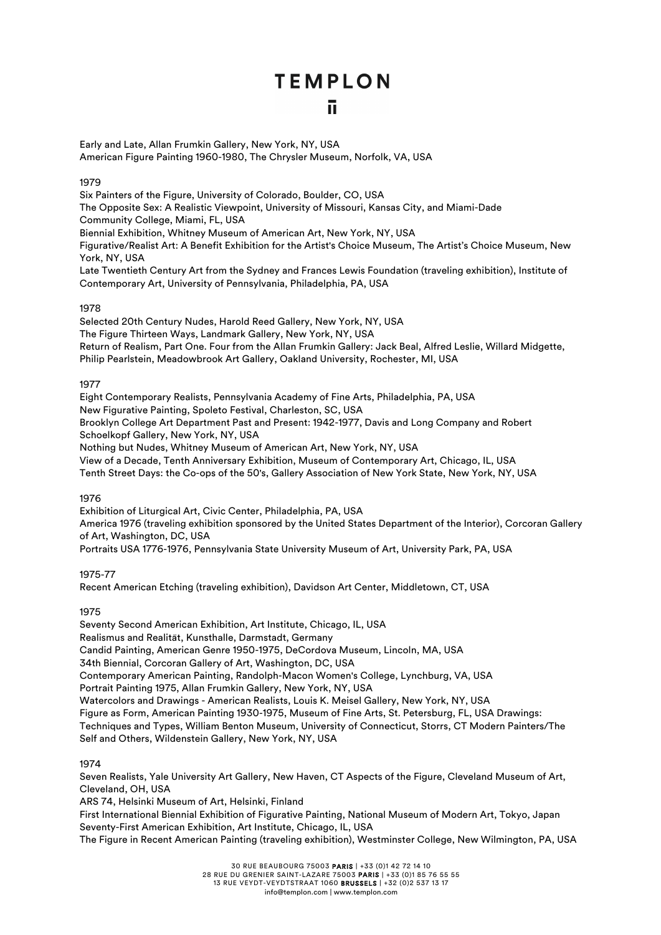Early and Late, Allan Frumkin Gallery, New York, NY, USA American Figure Painting 1960-1980, The Chrysler Museum, Norfolk, VA, USA

#### 1979

Six Painters of the Figure, University of Colorado, Boulder, CO, USA

The Opposite Sex: A Realistic Viewpoint, University of Missouri, Kansas City, and Miami-Dade Community College, Miami, FL, USA

Biennial Exhibition, Whitney Museum of American Art, New York, NY, USA

Figurative/Realist Art: A Benefit Exhibition for the Artist's Choice Museum, The Artist's Choice Museum, New York, NY, USA

Late Twentieth Century Art from the Sydney and Frances Lewis Foundation (traveling exhibition), Institute of Contemporary Art, University of Pennsylvania, Philadelphia, PA, USA

#### 1978

Selected 20th Century Nudes, Harold Reed Gallery, New York, NY, USA The Figure Thirteen Ways, Landmark Gallery, New York, NY, USA Return of Realism, Part One. Four from the Allan Frumkin Gallery: Jack Beal, Alfred Leslie, Willard Midgette, Philip Pearlstein, Meadowbrook Art Gallery, Oakland University, Rochester, MI, USA

#### 1977

Eight Contemporary Realists, Pennsylvania Academy of Fine Arts, Philadelphia, PA, USA New Figurative Painting, Spoleto Festival, Charleston, SC, USA Brooklyn College Art Department Past and Present: 1942-1977, Davis and Long Company and Robert Schoelkopf Gallery, New York, NY, USA Nothing but Nudes, Whitney Museum of American Art, New York, NY, USA View of a Decade, Tenth Anniversary Exhibition, Museum of Contemporary Art, Chicago, IL, USA Tenth Street Days: the Co-ops of the 50's, Gallery Association of New York State, New York, NY, USA

#### 1976

Exhibition of Liturgical Art, Civic Center, Philadelphia, PA, USA America 1976 (traveling exhibition sponsored by the United States Department of the Interior), Corcoran Gallery of Art, Washington, DC, USA Portraits USA 1776-1976, Pennsylvania State University Museum of Art, University Park, PA, USA

#### 1975-77

Recent American Etching (traveling exhibition), Davidson Art Center, Middletown, CT, USA

#### 1975

Seventy Second American Exhibition, Art Institute, Chicago, IL, USA Realismus and Realität, Kunsthalle, Darmstadt, Germany Candid Painting, American Genre 1950-1975, DeCordova Museum, Lincoln, MA, USA 34th Biennial, Corcoran Gallery of Art, Washington, DC, USA Contemporary American Painting, Randolph-Macon Women's College, Lynchburg, VA, USA Portrait Painting 1975, Allan Frumkin Gallery, New York, NY, USA Watercolors and Drawings - American Realists, Louis K. Meisel Gallery, New York, NY, USA Figure as Form, American Painting 1930-1975, Museum of Fine Arts, St. Petersburg, FL, USA Drawings: Techniques and Types, William Benton Museum, University of Connecticut, Storrs, CT Modern Painters/The Self and Others, Wildenstein Gallery, New York, NY, USA

#### 1974

Seven Realists, Yale University Art Gallery, New Haven, CT Aspects of the Figure, Cleveland Museum of Art, Cleveland, OH, USA

ARS 74, Helsinki Museum of Art, Helsinki, Finland

First International Biennial Exhibition of Figurative Painting, National Museum of Modern Art, Tokyo, Japan Seventy-First American Exhibition, Art Institute, Chicago, IL, USA

The Figure in Recent American Painting (traveling exhibition), Westminster College, New Wilmington, PA, USA

30 RUE BEAUBOURG 75003 PARIS | +33 (0)1 42 72 14 10

28 RUE DU GRENIER SAINT-LAZARE 75003 PARIS | +33 (0)1 85 76 55 55 13 RUE VEYDT-VEYDTSTRAAT 1060 BRUSSELS | +32 (0)2 537 13 17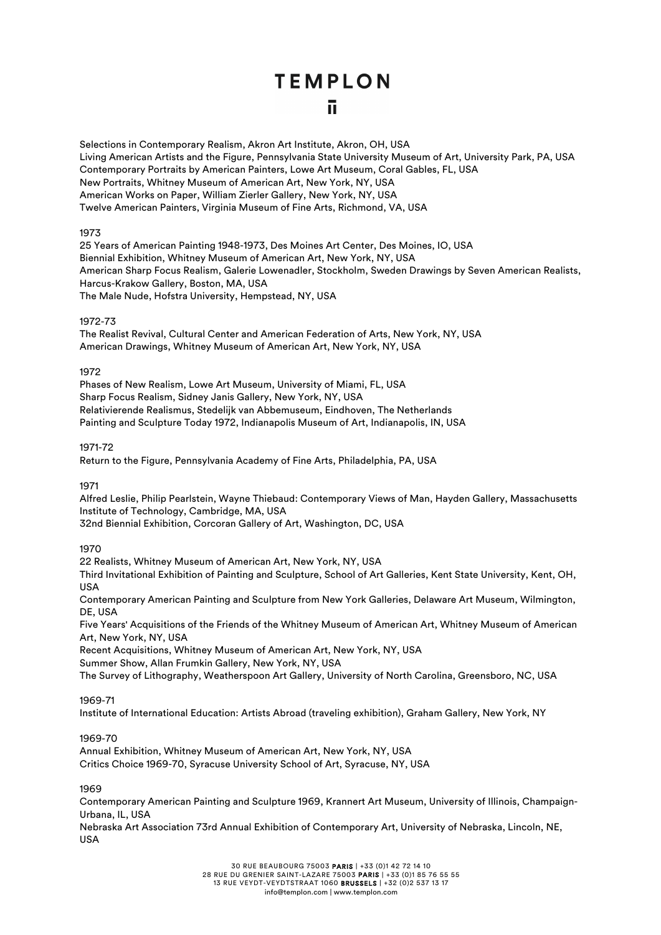Selections in Contemporary Realism, Akron Art Institute, Akron, OH, USA Living American Artists and the Figure, Pennsylvania State University Museum of Art, University Park, PA, USA Contemporary Portraits by American Painters, Lowe Art Museum, Coral Gables, FL, USA New Portraits, Whitney Museum of American Art, New York, NY, USA American Works on Paper, William Zierler Gallery, New York, NY, USA Twelve American Painters, Virginia Museum of Fine Arts, Richmond, VA, USA

#### 1973

25 Years of American Painting 1948-1973, Des Moines Art Center, Des Moines, IO, USA Biennial Exhibition, Whitney Museum of American Art, New York, NY, USA American Sharp Focus Realism, Galerie Lowenadler, Stockholm, Sweden Drawings by Seven American Realists, Harcus-Krakow Gallery, Boston, MA, USA The Male Nude, Hofstra University, Hempstead, NY, USA

#### 1972-73

The Realist Revival, Cultural Center and American Federation of Arts, New York, NY, USA American Drawings, Whitney Museum of American Art, New York, NY, USA

#### 1972

Phases of New Realism, Lowe Art Museum, University of Miami, FL, USA Sharp Focus Realism, Sidney Janis Gallery, New York, NY, USA Relativierende Realismus, Stedelijk van Abbemuseum, Eindhoven, The Netherlands Painting and Sculpture Today 1972, Indianapolis Museum of Art, Indianapolis, IN, USA

#### 1971-72

Return to the Figure, Pennsylvania Academy of Fine Arts, Philadelphia, PA, USA

#### 1971

Alfred Leslie, Philip Pearlstein, Wayne Thiebaud: Contemporary Views of Man, Hayden Gallery, Massachusetts Institute of Technology, Cambridge, MA, USA

32nd Biennial Exhibition, Corcoran Gallery of Art, Washington, DC, USA

#### 1970

22 Realists, Whitney Museum of American Art, New York, NY, USA Third Invitational Exhibition of Painting and Sculpture, School of Art Galleries, Kent State University, Kent, OH, USA

Contemporary American Painting and Sculpture from New York Galleries, Delaware Art Museum, Wilmington, DE, USA

Five Years' Acquisitions of the Friends of the Whitney Museum of American Art, Whitney Museum of American Art, New York, NY, USA

Recent Acquisitions, Whitney Museum of American Art, New York, NY, USA

Summer Show, Allan Frumkin Gallery, New York, NY, USA

The Survey of Lithography, Weatherspoon Art Gallery, University of North Carolina, Greensboro, NC, USA

#### 1969-71

Institute of International Education: Artists Abroad (traveling exhibition), Graham Gallery, New York, NY

#### 1969-70

Annual Exhibition, Whitney Museum of American Art, New York, NY, USA Critics Choice 1969-70, Syracuse University School of Art, Syracuse, NY, USA

#### 1969

Contemporary American Painting and Sculpture 1969, Krannert Art Museum, University of Illinois, Champaign-Urbana, IL, USA

Nebraska Art Association 73rd Annual Exhibition of Contemporary Art, University of Nebraska, Lincoln, NE, USA

30 RUE BEAUBOURG 75003 PARIS | +33 (0)1 42 72 14 10

28 RUE DU GRENIER SAINT-LAZARE 75003 PARIS | +33 (0)1 85 76 55 55 13 RUE VEYDT-VEYDTSTRAAT 1060 BRUSSELS | +32 (0)2 537 13 17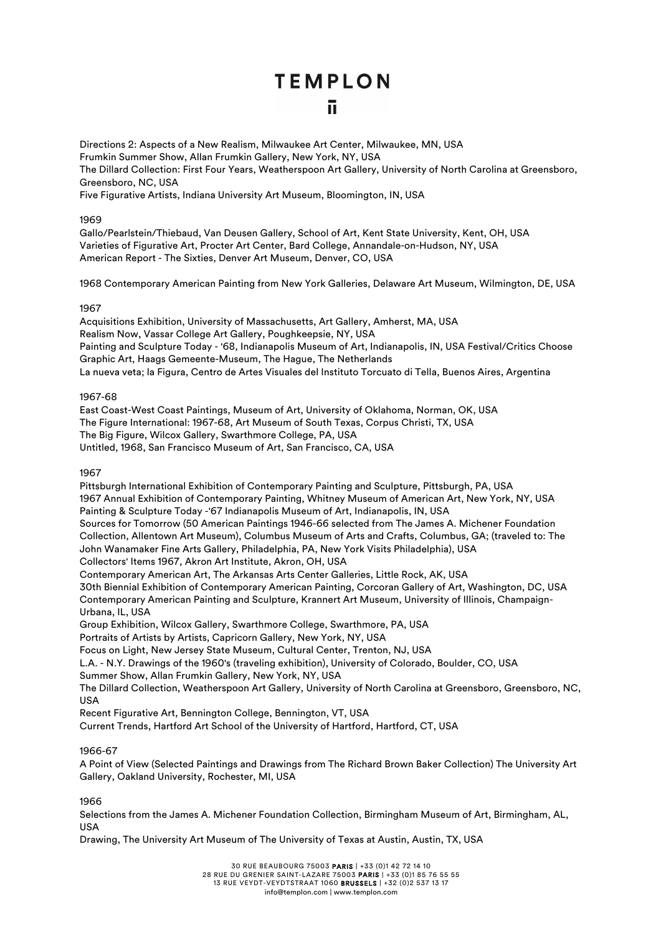Directions 2: Aspects of a New Realism, Milwaukee Art Center, Milwaukee, MN, USA Frumkin Summer Show, Allan Frumkin Gallery, New York, NY, USA The Dillard Collection: First Four Years, Weatherspoon Art Gallery, University of North Carolina at Greensboro, Greensboro, NC, USA Five Figurative Artists, Indiana University Art Museum, Bloomington, IN, USA

#### 1969

Gallo/Pearlstein/Thiebaud, Van Deusen Gallery, School of Art, Kent State University, Kent, OH, USA Varieties of Figurative Art, Procter Art Center, Bard College, Annandale-on-Hudson, NY, USA American Report - The Sixties, Denver Art Museum, Denver, CO, USA

1968 Contemporary American Painting from New York Galleries, Delaware Art Museum, Wilmington, DE, USA

#### 1967

Acquisitions Exhibition, University of Massachusetts, Art Gallery, Amherst, MA, USA Realism Now, Vassar College Art Gallery, Poughkeepsie, NY, USA Painting and Sculpture Today - '68, Indianapolis Museum of Art, Indianapolis, IN, USA Festival/Critics Choose Graphic Art, Haags Gemeente-Museum, The Hague, The Netherlands La nueva veta; la Figura, Centro de Artes Visuales del Instituto Torcuato di Tella, Buenos Aires, Argentina

#### 1967-68

East Coast-West Coast Paintings, Museum of Art, University of Oklahoma, Norman, OK, USA The Figure International: 1967-68, Art Museum of South Texas, Corpus Christi, TX, USA The Big Figure, Wilcox Gallery, Swarthmore College, PA, USA Untitled, 1968, San Francisco Museum of Art, San Francisco, CA, USA

#### 1967

Pittsburgh International Exhibition of Contemporary Painting and Sculpture, Pittsburgh, PA, USA 1967 Annual Exhibition of Contemporary Painting, Whitney Museum of American Art, New York, NY, USA Painting & Sculpture Today -'67 Indianapolis Museum of Art, Indianapolis, IN, USA Sources for Tomorrow (50 American Paintings 1946-66 selected from The James A. Michener Foundation Collection, Allentown Art Museum), Columbus Museum of Arts and Crafts, Columbus, GA; (traveled to: The John Wanamaker Fine Arts Gallery, Philadelphia, PA, New York Visits Philadelphia), USA

Collectors' Items 1967, Akron Art Institute, Akron, OH, USA

Contemporary American Art, The Arkansas Arts Center Galleries, Little Rock, AK, USA

30th Biennial Exhibition of Contemporary American Painting, Corcoran Gallery of Art, Washington, DC, USA Contemporary American Painting and Sculpture, Krannert Art Museum, University of Illinois, Champaign-Urbana, IL, USA

Group Exhibition, Wilcox Gallery, Swarthmore College, Swarthmore, PA, USA Portraits of Artists by Artists, Capricorn Gallery, New York, NY, USA

Focus on Light, New Jersey State Museum, Cultural Center, Trenton, NJ, USA

L.A. - N.Y. Drawings of the 1960's (traveling exhibition), University of Colorado, Boulder, CO, USA

Summer Show, Allan Frumkin Gallery, New York, NY, USA

The Dillard Collection, Weatherspoon Art Gallery, University of North Carolina at Greensboro, Greensboro, NC, USA

Recent Figurative Art, Bennington College, Bennington, VT, USA

Current Trends, Hartford Art School of the University of Hartford, Hartford, CT, USA

#### 1966-67

A Point of View (Selected Paintings and Drawings from The Richard Brown Baker Collection) The University Art Gallery, Oakland University, Rochester, MI, USA

1966

Selections from the James A. Michener Foundation Collection, Birmingham Museum of Art, Birmingham, AL, USA

Drawing, The University Art Museum of The University of Texas at Austin, Austin, TX, USA

30 RUE BEAUBOURG 75003 PARIS | +33 (0)1 42 72 14 10

28 RUE DU GRENIER SAINT-LAZARE 75003 PARIS | +33 (0)1 85 76 55 55 13 RUE VEYDT-VEYDTSTRAAT 1060 BRUSSELS | +32 (0)2 537 13 17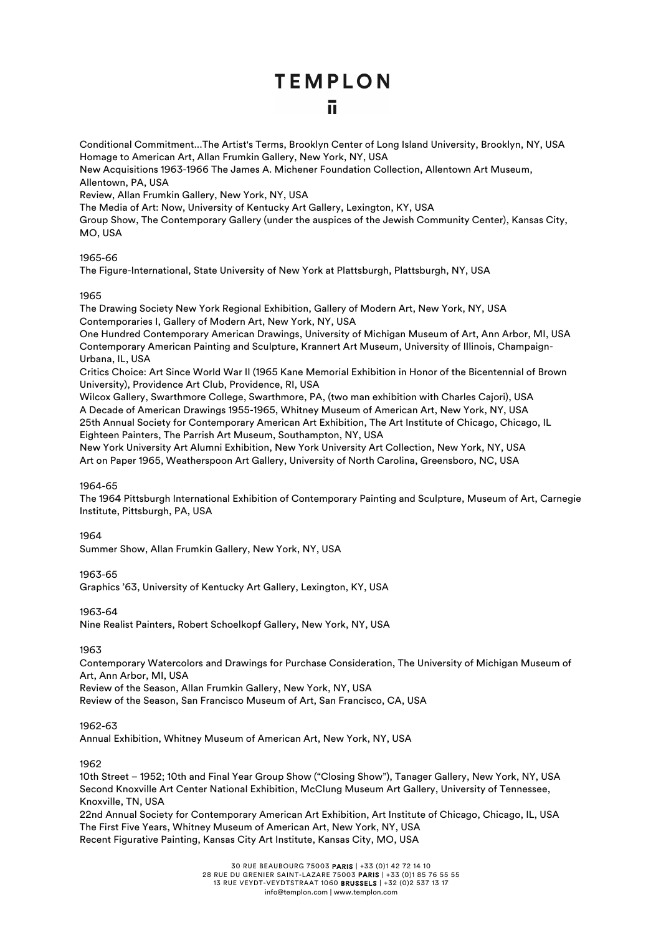Conditional Commitment...The Artist's Terms, Brooklyn Center of Long Island University, Brooklyn, NY, USA Homage to American Art, Allan Frumkin Gallery, New York, NY, USA New Acquisitions 1963-1966 The James A. Michener Foundation Collection, Allentown Art Museum, Allentown, PA, USA Review, Allan Frumkin Gallery, New York, NY, USA The Media of Art: Now, University of Kentucky Art Gallery, Lexington, KY, USA Group Show, The Contemporary Gallery (under the auspices of the Jewish Community Center), Kansas City, MO, USA

#### 1965-66

The Figure-International, State University of New York at Plattsburgh, Plattsburgh, NY, USA

#### 1965

The Drawing Society New York Regional Exhibition, Gallery of Modern Art, New York, NY, USA Contemporaries I, Gallery of Modern Art, New York, NY, USA

One Hundred Contemporary American Drawings, University of Michigan Museum of Art, Ann Arbor, MI, USA Contemporary American Painting and Sculpture, Krannert Art Museum, University of Illinois, Champaign-Urbana, IL, USA

Critics Choice: Art Since World War II (1965 Kane Memorial Exhibition in Honor of the Bicentennial of Brown University), Providence Art Club, Providence, RI, USA

Wilcox Gallery, Swarthmore College, Swarthmore, PA, (two man exhibition with Charles Cajori), USA A Decade of American Drawings 1955-1965, Whitney Museum of American Art, New York, NY, USA 25th Annual Society for Contemporary American Art Exhibition, The Art Institute of Chicago, Chicago, IL Eighteen Painters, The Parrish Art Museum, Southampton, NY, USA

New York University Art Alumni Exhibition, New York University Art Collection, New York, NY, USA Art on Paper 1965, Weatherspoon Art Gallery, University of North Carolina, Greensboro, NC, USA

#### 1964-65

The 1964 Pittsburgh International Exhibition of Contemporary Painting and Sculpture, Museum of Art, Carnegie Institute, Pittsburgh, PA, USA

#### 1964

Summer Show, Allan Frumkin Gallery, New York, NY, USA

#### 1963-65

Graphics '63, University of Kentucky Art Gallery, Lexington, KY, USA

1963-64

Nine Realist Painters, Robert Schoelkopf Gallery, New York, NY, USA

#### 1963

Contemporary Watercolors and Drawings for Purchase Consideration, The University of Michigan Museum of Art, Ann Arbor, MI, USA

Review of the Season, Allan Frumkin Gallery, New York, NY, USA

Review of the Season, San Francisco Museum of Art, San Francisco, CA, USA

#### 1962-63

Annual Exhibition, Whitney Museum of American Art, New York, NY, USA

#### 1962

10th Street – 1952; 10th and Final Year Group Show ("Closing Show"), Tanager Gallery, New York, NY, USA Second Knoxville Art Center National Exhibition, McClung Museum Art Gallery, University of Tennessee, Knoxville, TN, USA

22nd Annual Society for Contemporary American Art Exhibition, Art Institute of Chicago, Chicago, IL, USA The First Five Years, Whitney Museum of American Art, New York, NY, USA Recent Figurative Painting, Kansas City Art Institute, Kansas City, MO, USA

30 RUE BEAUBOURG 75003 PARIS | +33 (0)1 42 72 14 10

28 RUE DU GRENIER SAINT-LAZARE 75003 PARIS | +33 (0)1 85 76 55 55 13 RUE VEYDT-VEYDTSTRAAT 1060 BRUSSELS | +32 (0)2 537 13 17

info@templon.com | www.templon.com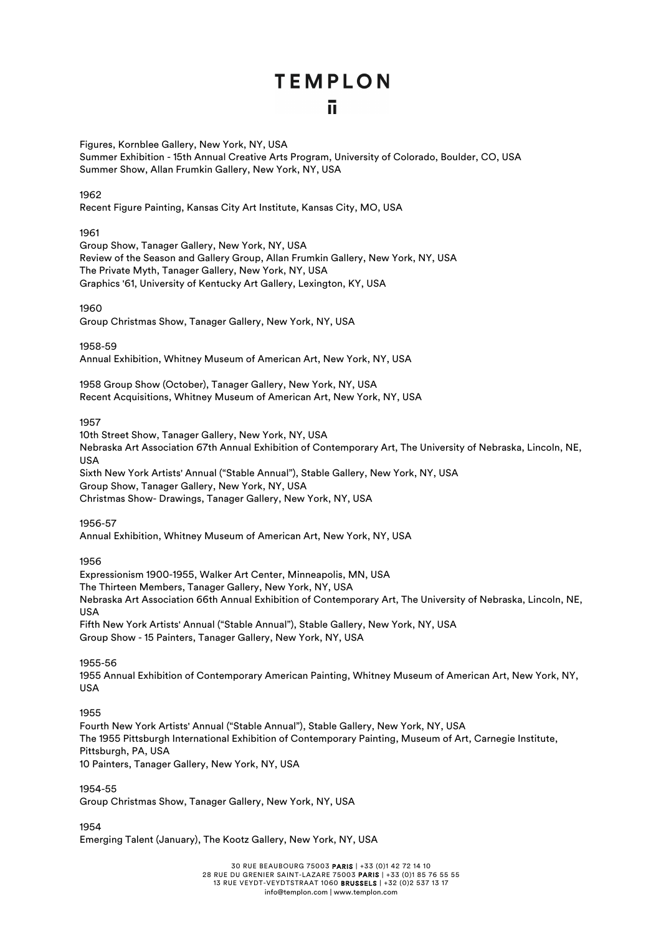Figures, Kornblee Gallery, New York, NY, USA

Summer Exhibition - 15th Annual Creative Arts Program, University of Colorado, Boulder, CO, USA Summer Show, Allan Frumkin Gallery, New York, NY, USA

#### 1962

Recent Figure Painting, Kansas City Art Institute, Kansas City, MO, USA

1961

Group Show, Tanager Gallery, New York, NY, USA Review of the Season and Gallery Group, Allan Frumkin Gallery, New York, NY, USA The Private Myth, Tanager Gallery, New York, NY, USA Graphics '61, University of Kentucky Art Gallery, Lexington, KY, USA

1960

Group Christmas Show, Tanager Gallery, New York, NY, USA

1958-59

Annual Exhibition, Whitney Museum of American Art, New York, NY, USA

1958 Group Show (October), Tanager Gallery, New York, NY, USA Recent Acquisitions, Whitney Museum of American Art, New York, NY, USA

1957

10th Street Show, Tanager Gallery, New York, NY, USA Nebraska Art Association 67th Annual Exhibition of Contemporary Art, The University of Nebraska, Lincoln, NE, **IISA** Sixth New York Artists' Annual ("Stable Annual"), Stable Gallery, New York, NY, USA Group Show, Tanager Gallery, New York, NY, USA Christmas Show- Drawings, Tanager Gallery, New York, NY, USA

1956-57

Annual Exhibition, Whitney Museum of American Art, New York, NY, USA

1956

Expressionism 1900-1955, Walker Art Center, Minneapolis, MN, USA The Thirteen Members, Tanager Gallery, New York, NY, USA Nebraska Art Association 66th Annual Exhibition of Contemporary Art, The University of Nebraska, Lincoln, NE, USA Fifth New York Artists' Annual ("Stable Annual"), Stable Gallery, New York, NY, USA Group Show - 15 Painters, Tanager Gallery, New York, NY, USA

1955-56

1955 Annual Exhibition of Contemporary American Painting, Whitney Museum of American Art, New York, NY, USA

1955

Fourth New York Artists' Annual ("Stable Annual"), Stable Gallery, New York, NY, USA The 1955 Pittsburgh International Exhibition of Contemporary Painting, Museum of Art, Carnegie Institute, Pittsburgh, PA, USA 10 Painters, Tanager Gallery, New York, NY, USA

1954-55 Group Christmas Show, Tanager Gallery, New York, NY, USA

1954

Emerging Talent (January), The Kootz Gallery, New York, NY, USA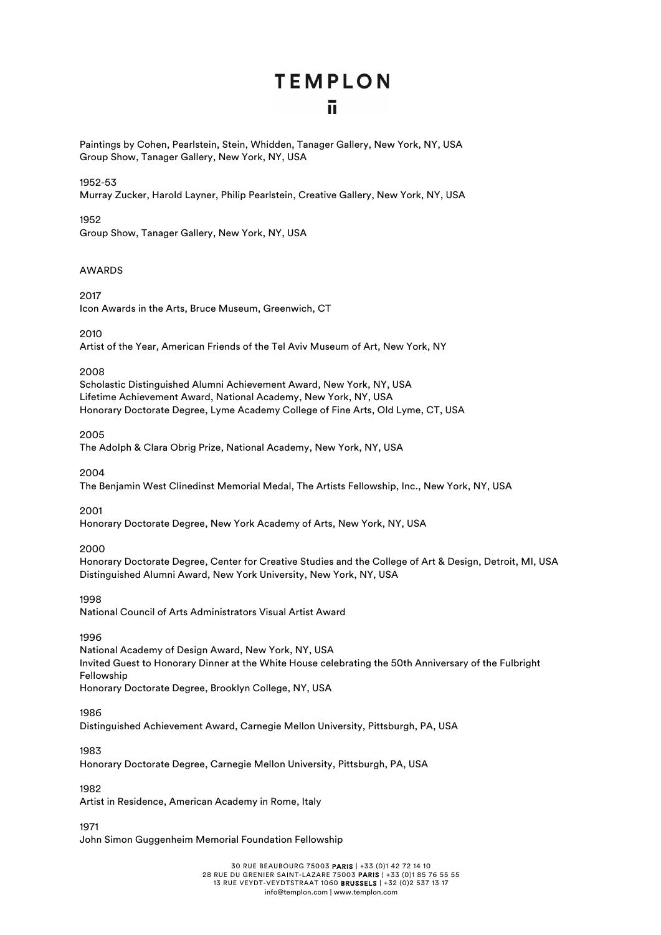Paintings by Cohen, Pearlstein, Stein, Whidden, Tanager Gallery, New York, NY, USA Group Show, Tanager Gallery, New York, NY, USA

#### 1952-53

Murray Zucker, Harold Layner, Philip Pearlstein, Creative Gallery, New York, NY, USA

1952

Group Show, Tanager Gallery, New York, NY, USA

#### AWARDS

2017 Icon Awards in the Arts, Bruce Museum, Greenwich, CT

2010

Artist of the Year, American Friends of the Tel Aviv Museum of Art, New York, NY

2008

Scholastic Distinguished Alumni Achievement Award, New York, NY, USA Lifetime Achievement Award, National Academy, New York, NY, USA Honorary Doctorate Degree, Lyme Academy College of Fine Arts, Old Lyme, CT, USA

2005

The Adolph & Clara Obrig Prize, National Academy, New York, NY, USA

2004

The Benjamin West Clinedinst Memorial Medal, The Artists Fellowship, Inc., New York, NY, USA

2001

Honorary Doctorate Degree, New York Academy of Arts, New York, NY, USA

#### 2000

Honorary Doctorate Degree, Center for Creative Studies and the College of Art & Design, Detroit, MI, USA Distinguished Alumni Award, New York University, New York, NY, USA

1998

National Council of Arts Administrators Visual Artist Award

1996

National Academy of Design Award, New York, NY, USA Invited Guest to Honorary Dinner at the White House celebrating the 50th Anniversary of the Fulbright Fellowship Honorary Doctorate Degree, Brooklyn College, NY, USA

#### 1986

Distinguished Achievement Award, Carnegie Mellon University, Pittsburgh, PA, USA

1983

Honorary Doctorate Degree, Carnegie Mellon University, Pittsburgh, PA, USA

1982

Artist in Residence, American Academy in Rome, Italy

1971

John Simon Guggenheim Memorial Foundation Fellowship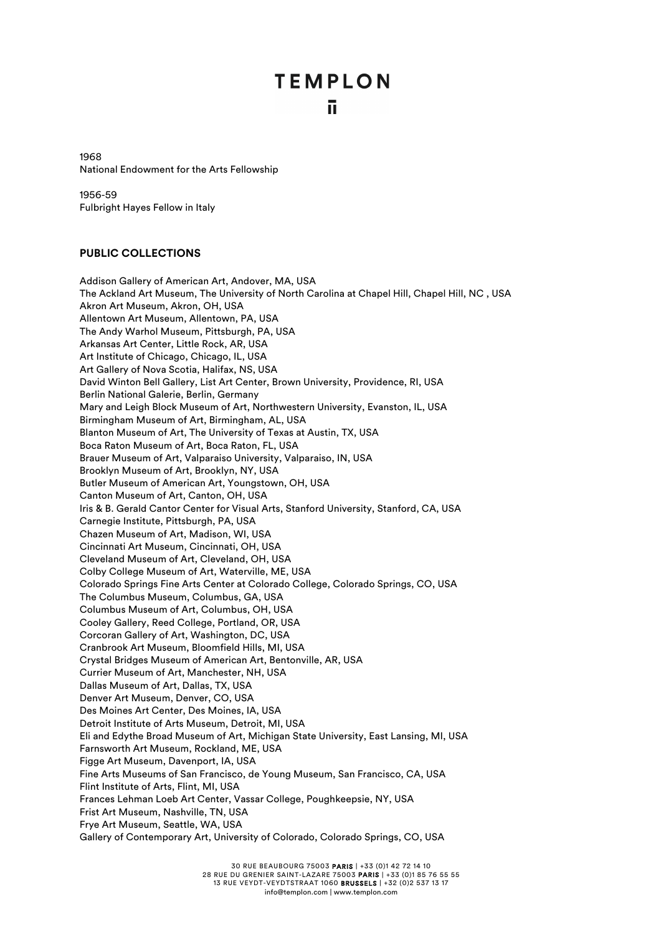1968 National Endowment for the Arts Fellowship

1956-59 Fulbright Hayes Fellow in Italy

#### **PUBLIC COLLECTIONS**

Addison Gallery of American Art, Andover, MA, USA The Ackland Art Museum, The University of North Carolina at Chapel Hill, Chapel Hill, NC, USA Akron Art Museum, Akron, OH, USA Allentown Art Museum, Allentown, PA, USA The Andy Warhol Museum, Pittsburgh, PA, USA Arkansas Art Center, Little Rock, AR, USA Art Institute of Chicago, Chicago, IL, USA Art Gallery of Nova Scotia, Halifax, NS, USA David Winton Bell Gallery, List Art Center, Brown University, Providence, RI, USA Berlin National Galerie, Berlin, Germany Mary and Leigh Block Museum of Art, Northwestern University, Evanston, IL, USA Birmingham Museum of Art, Birmingham, AL, USA Blanton Museum of Art, The University of Texas at Austin, TX, USA Boca Raton Museum of Art, Boca Raton, FL, USA Brauer Museum of Art, Valparaiso University, Valparaiso, IN, USA Brooklyn Museum of Art, Brooklyn, NY, USA Butler Museum of American Art, Youngstown, OH, USA Canton Museum of Art, Canton, OH, USA Iris & B. Gerald Cantor Center for Visual Arts, Stanford University, Stanford, CA, USA Carnegie Institute, Pittsburgh, PA, USA Chazen Museum of Art, Madison, WI, USA Cincinnati Art Museum, Cincinnati, OH, USA Cleveland Museum of Art, Cleveland, OH, USA Colby College Museum of Art, Waterville, ME, USA Colorado Springs Fine Arts Center at Colorado College, Colorado Springs, CO, USA The Columbus Museum, Columbus, GA, USA Columbus Museum of Art, Columbus, OH, USA Cooley Gallery, Reed College, Portland, OR, USA Corcoran Gallery of Art, Washington, DC, USA Cranbrook Art Museum, Bloomfield Hills, MI, USA Crystal Bridges Museum of American Art, Bentonville, AR, USA Currier Museum of Art, Manchester, NH, USA Dallas Museum of Art, Dallas, TX, USA Denver Art Museum, Denver, CO, USA Des Moines Art Center, Des Moines, IA, USA Detroit Institute of Arts Museum, Detroit, MI, USA Eli and Edythe Broad Museum of Art, Michigan State University, East Lansing, MI, USA Farnsworth Art Museum, Rockland, ME, USA Figge Art Museum, Davenport, IA, USA Fine Arts Museums of San Francisco, de Young Museum, San Francisco, CA, USA Flint Institute of Arts, Flint, MI, USA Frances Lehman Loeb Art Center, Vassar College, Poughkeepsie, NY, USA Frist Art Museum, Nashville, TN, USA Frye Art Museum, Seattle, WA, USA Gallery of Contemporary Art, University of Colorado, Colorado Springs, CO, USA

30 RUE BEAUBOURG 75003 PARIS | +33 (0)1 42 72 14 10

28 RUE DU GRENIER SAINT-LAZARE 75003 PARIS | +33 (0)1 85 76 55 55 13 RUE VEYDT-VEYDTSTRAAT 1060 BRUSSELS | +32 (0)2 537 13 17

info@templon.com | www.templon.com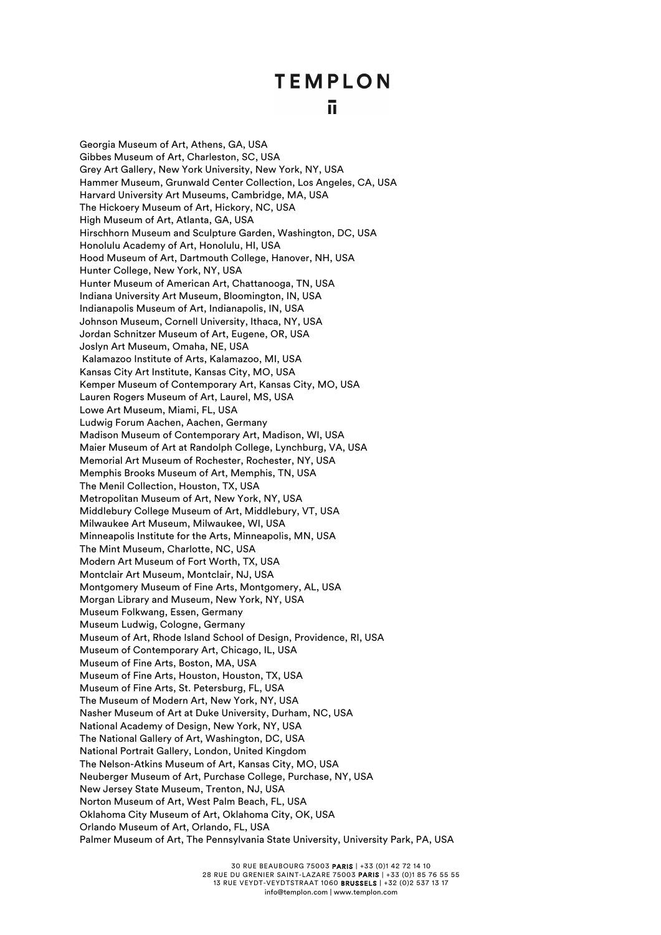### ū

Georgia Museum of Art, Athens, GA, USA Gibbes Museum of Art, Charleston, SC, USA Grey Art Gallery, New York University, New York, NY, USA Hammer Museum, Grunwald Center Collection, Los Angeles, CA, USA Harvard University Art Museums, Cambridge, MA, USA The Hickoery Museum of Art, Hickory, NC, USA High Museum of Art, Atlanta, GA, USA Hirschhorn Museum and Sculpture Garden, Washington, DC, USA Honolulu Academy of Art, Honolulu, HI, USA Hood Museum of Art, Dartmouth College, Hanover, NH, USA Hunter College, New York, NY, USA Hunter Museum of American Art, Chattanooga, TN, USA Indiana University Art Museum, Bloomington, IN, USA Indianapolis Museum of Art, Indianapolis, IN, USA Johnson Museum, Cornell University, Ithaca, NY, USA Jordan Schnitzer Museum of Art, Eugene, OR, USA Joslyn Art Museum, Omaha, NE, USA Kalamazoo Institute of Arts, Kalamazoo, MI, USA Kansas City Art Institute, Kansas City, MO, USA Kemper Museum of Contemporary Art, Kansas City, MO, USA Lauren Rogers Museum of Art, Laurel, MS, USA Lowe Art Museum, Miami, FL, USA Ludwig Forum Aachen, Aachen, Germany Madison Museum of Contemporary Art, Madison, WI, USA Maier Museum of Art at Randolph College, Lynchburg, VA, USA Memorial Art Museum of Rochester, Rochester, NY, USA Memphis Brooks Museum of Art, Memphis, TN, USA The Menil Collection, Houston, TX, USA Metropolitan Museum of Art, New York, NY, USA Middlebury College Museum of Art, Middlebury, VT, USA Milwaukee Art Museum, Milwaukee, WI, USA Minneapolis Institute for the Arts, Minneapolis, MN, USA The Mint Museum, Charlotte, NC, USA Modern Art Museum of Fort Worth, TX, USA Montclair Art Museum, Montclair, NJ, USA Montgomery Museum of Fine Arts, Montgomery, AL, USA Morgan Library and Museum, New York, NY, USA Museum Folkwang, Essen, Germany Museum Ludwig, Cologne, Germany Museum of Art, Rhode Island School of Design, Providence, RI, USA Museum of Contemporary Art, Chicago, IL, USA Museum of Fine Arts, Boston, MA, USA Museum of Fine Arts, Houston, Houston, TX, USA Museum of Fine Arts, St. Petersburg, FL, USA The Museum of Modern Art, New York, NY, USA Nasher Museum of Art at Duke University, Durham, NC, USA National Academy of Design, New York, NY, USA The National Gallery of Art, Washington, DC, USA National Portrait Gallery, London, United Kingdom The Nelson-Atkins Museum of Art, Kansas City, MO, USA Neuberger Museum of Art, Purchase College, Purchase, NY, USA New Jersey State Museum, Trenton, NJ, USA Norton Museum of Art, West Palm Beach, FL, USA Oklahoma City Museum of Art, Oklahoma City, OK, USA Orlando Museum of Art, Orlando, FL, USA Palmer Museum of Art, The Pennsylvania State University, University Park, PA, USA

> 30 RUE BEAUBOURG 75003 PARIS | +33 (0)1 42 72 14 10 28 RUE DU GRENIER SAINT-LAZARE 75003 PARIS | +33 (0)1 85 76 55 55 13 RUE VEYDT-VEYDTSTRAAT 1060 BRUSSELS | +32 (0)2 537 13 17 info@templon.com | www.templon.com